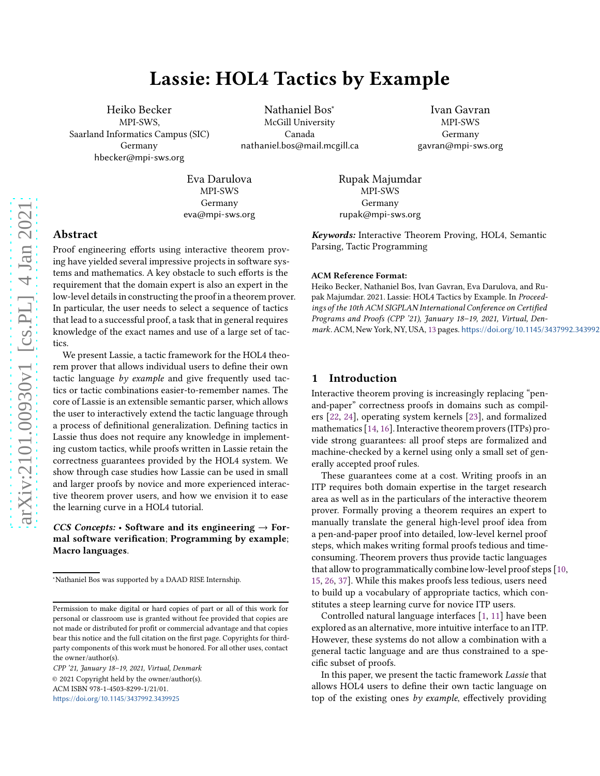# Lassie: HOL4 Tactics by Example

Heiko Becker MPI-SWS, Saarland Informatics Campus (SIC) Germany hbecker@mpi-sws.org

Nathaniel Bos<sup>∗</sup> McGill University Canada nathaniel.bos@mail.mcgill.ca

Ivan Gavran MPI-SWS Germany gavran@mpi-sws.org

Rupak Majumdar MPI-SWS Germany rupak@mpi-sws.org

> *Keywords:* Interactive Theorem Proving, HOL4, Semantic Parsing, Tactic Programming

# Abstract

Proof engineering efforts using interactive theorem proving have yielded several impressive projects in software systems and mathematics. A key obstacle to such efforts is the requirement that the domain expert is also an expert in the low-level details in constructing the proof in a theorem prover. In particular, the user needs to select a sequence of tactics that lead to a successful proof, a task that in general requires knowledge of the exact names and use of a large set of tactics.

Eva Darulova MPI-SWS Germany eva@mpi-sws.org

We present Lassie, a tactic framework for the HOL4 theorem prover that allows individual users to define their own tactic language by example and give frequently used tactics or tactic combinations easier-to-remember names. The core of Lassie is an extensible semantic parser, which allows the user to interactively extend the tactic language through a process of definitional generalization. Defining tactics in Lassie thus does not require any knowledge in implementing custom tactics, while proofs written in Lassie retain the correctness guarantees provided by the HOL4 system. We show through case studies how Lassie can be used in small and larger proofs by novice and more experienced interactive theorem prover users, and how we envision it to ease the learning curve in a HOL4 tutorial.

## *CCS Concepts:* • Software and its engineering  $\rightarrow$  Formal software verification; Programming by example; Macro languages.

CPP '21, January 18–19, 2021, Virtual, Denmark © 2021 Copyright held by the owner/author(s). ACM ISBN 978-1-4503-8299-1/21/01. https://doi.org/10.1145/3437992.3439925

#### ACM Reference Format:

Heiko Becker, Nathaniel Bos, Ivan Gavran, Eva Darulova, and Rupak Majumdar. 2021. Lassie: HOL4 Tactics by Example. In Proceedings of the 10th ACM SIGPLAN International Conference on Certified Programs and Proofs (CPP '21), January 18–19, 2021, Virtual, Den-mark. ACM, New York, NY, USA, [13](#page-12-0) pages. https://doi.org/10.1145/3437992.343992

## 1 Introduction

Interactive theorem proving is increasingly replacing "penand-paper" correctness proofs in domains such as compilers [\[22,](#page-11-0) [24](#page-11-1)], operating system kernels [\[23\]](#page-11-2), and formalized mathematics [\[14](#page-11-3), [16](#page-11-4)]. Interactive theorem provers (ITPs) provide strong guarantees: all proof steps are formalized and machine-checked by a kernel using only a small set of generally accepted proof rules.

These guarantees come at a cost. Writing proofs in an ITP requires both domain expertise in the target research area as well as in the particulars of the interactive theorem prover. Formally proving a theorem requires an expert to manually translate the general high-level proof idea from a pen-and-paper proof into detailed, low-level kernel proof steps, which makes writing formal proofs tedious and timeconsuming. Theorem provers thus provide tactic languages that allow to programmatically combine low-level proof steps [\[10,](#page-11-5) [15](#page-11-6), [26,](#page-11-7) [37\]](#page-12-1). While this makes proofs less tedious, users need to build up a vocabulary of appropriate tactics, which constitutes a steep learning curve for novice ITP users.

Controlled natural language interfaces [\[1](#page-11-8), [11](#page-11-9)] have been explored as an alternative, more intuitive interface to an ITP. However, these systems do not allow a combination with a general tactic language and are thus constrained to a specific subset of proofs.

In this paper, we present the tactic framework Lassie that allows HOL4 users to define their own tactic language on top of the existing ones by example, effectively providing

<sup>∗</sup>Nathaniel Bos was supported by a DAAD RISE Internship.

Permission to make digital or hard copies of part or all of this work for personal or classroom use is granted without fee provided that copies are not made or distributed for profit or commercial advantage and that copies bear this notice and the full citation on the first page. Copyrights for thirdparty components of this work must be honored. For all other uses, contact the owner/author(s).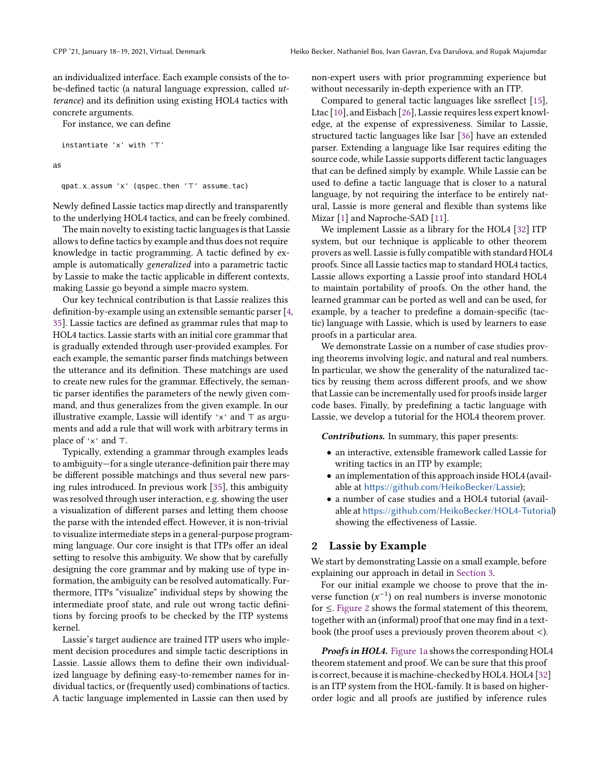an individualized interface. Each example consists of the tobe-defined tactic (a natural language expression, called utterance) and its definition using existing HOL4 tactics with concrete arguments.

For instance, we can define

instantiate 'x' with '⊤'

as

qpat\_x\_assum 'x' (qspec\_then '⊤' assume\_tac)

Newly defined Lassie tactics map directly and transparently to the underlying HOL4 tactics, and can be freely combined.

The main novelty to existing tactic languages is that Lassie allows to define tactics by example and thus does not require knowledge in tactic programming. A tactic defined by example is automatically generalized into a parametric tactic by Lassie to make the tactic applicable in different contexts, making Lassie go beyond a simple macro system.

Our key technical contribution is that Lassie realizes this definition-by-example using an extensible semantic parser [\[4](#page-11-10), 35]. Lassie tactics are defined as grammar rules that map to HOL4 tactics. Lassie starts with an initial core grammar that is gradually extended through user-provided examples. For each example, the semantic parser finds matchings between the utterance and its definition. These matchings are used to create new rules for the grammar. Effectively, the semantic parser identifies the parameters of the newly given command, and thus generalizes from the given example. In our illustrative example, Lassie will identify 'x' and ⊤ as arguments and add a rule that will work with arbitrary terms in place of 'x' and ⊤.

Typically, extending a grammar through examples leads to ambiguity—for a single uterance-definition pair there may be different possible matchings and thus several new parsing rules introduced. In previous work [35], this ambiguity was resolved through user interaction, e.g. showing the user a visualization of different parses and letting them choose the parse with the intended effect. However, it is non-trivial to visualize intermediate steps in a general-purpose programming language. Our core insight is that ITPs offer an ideal setting to resolve this ambiguity. We show that by carefully designing the core grammar and by making use of type information, the ambiguity can be resolved automatically. Furthermore, ITPs "visualize" individual steps by showing the intermediate proof state, and rule out wrong tactic definitions by forcing proofs to be checked by the ITP systems kernel.

Lassie's target audience are trained ITP users who implement decision procedures and simple tactic descriptions in Lassie. Lassie allows them to define their own individualized language by defining easy-to-remember names for individual tactics, or (frequently used) combinations of tactics. A tactic language implemented in Lassie can then used by

non-expert users with prior programming experience but without necessarily in-depth experience with an ITP.

Compared to general tactic languages like ssreflect [\[15\]](#page-11-6), Ltac [\[10\]](#page-11-5), and Eisbach [\[26\]](#page-11-7), Lassie requires less expert knowledge, at the expense of expressiveness. Similar to Lassie, structured tactic languages like Isar [\[36\]](#page-12-2) have an extended parser. Extending a language like Isar requires editing the source code, while Lassie supports different tactic languages that can be defined simply by example. While Lassie can be used to define a tactic language that is closer to a natural language, by not requiring the interface to be entirely natural, Lassie is more general and flexible than systems like Mizar [\[1](#page-11-8)] and Naproche-SAD [\[11\]](#page-11-9).

We implement Lassie as a library for the HOL4 [\[32](#page-11-11)] ITP system, but our technique is applicable to other theorem provers as well. Lassie is fully compatible with standard HOL4 proofs. Since all Lassie tactics map to standard HOL4 tactics, Lassie allows exporting a Lassie proof into standard HOL4 to maintain portability of proofs. On the other hand, the learned grammar can be ported as well and can be used, for example, by a teacher to predefine a domain-specific (tactic) language with Lassie, which is used by learners to ease proofs in a particular area.

We demonstrate Lassie on a number of case studies proving theorems involving logic, and natural and real numbers. In particular, we show the generality of the naturalized tactics by reusing them across different proofs, and we show that Lassie can be incrementally used for proofs inside larger code bases. Finally, by predefining a tactic language with Lassie, we develop a tutorial for the HOL4 theorem prover.

*Contributions.* In summary, this paper presents:

- an interactive, extensible framework called Lassie for writing tactics in an ITP by example;
- an implementation of this approach inside HOL4 (available at https://github.com/HeikoBecker/Lassie);
- a number of case studies and a HOL4 tutorial (available at https://github.com/HeikoBecker/HOL4-Tutorial) showing the effectiveness of Lassie.

## 2 Lassie by Example

We start by demonstrating Lassie on a small example, before explaining our approach in detail in [Section 3.](#page-4-0)

For our initial example we choose to prove that the inverse function  $(x^{-1})$  on real numbers is inverse monotonic for ≤. [Figure 2](#page-2-0) shows the formal statement of this theorem, together with an (informal) proof that one may find in a textbook (the proof uses a previously proven theorem about <).

*Proofs in HOL4.* [Figure 1a](#page-2-1) shows the corresponding HOL4 theorem statement and proof. We can be sure that this proof is correct, because it is machine-checked by HOL4. HOL4 [\[32](#page-11-11)] is an ITP system from the HOL-family. It is based on higherorder logic and all proofs are justified by inference rules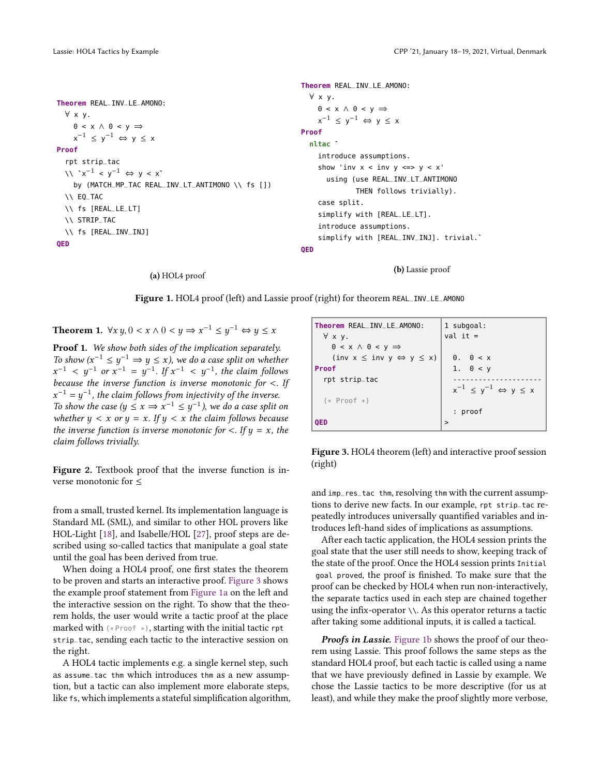<span id="page-2-1"></span>**Theorem** REAL\_INV\_LE\_AMONO: ∀ x y.  $0 < x \wedge 0 < y \Rightarrow$  $x^{-1} \le y^{-1} \Leftrightarrow y \le x$ **Proof** rpt strip\_tac  $\forall x^{-1} < y^{-1} \Leftrightarrow y < x$ by (MATCH\_MP\_TAC REAL\_INV\_LT\_ANTIMONO \\ fs []) \\ EQ\_TAC \\ fs [REAL\_LE\_LT] \\ STRIP\_TAC \\ fs [REAL\_INV\_INJ] **QED Theorem** REAL\_INV\_LE\_AMONO: ∀ x y.  $0 < x \land 0 < y \Rightarrow$  $x^{-1} \le y^{-1} \Leftrightarrow y \le x$ **Proof nltac** ` introduce assumptions. show 'inv  $x <$  inv  $y \iff y < x'$ using (use REAL\_INV\_LT\_ANTIMONO THEN follows trivially). case split. simplify with [REAL\_LE\_LT]. introduce assumptions. simplify with [REAL\_INV\_INJ]. trivial.` **QED**

(b) Lassie proof

Figure 1. HOL4 proof (left) and Lassie proof (right) for theorem REAL\_INV\_LE\_AMONO

<span id="page-2-0"></span>Theorem 1.  $\forall x \ y, 0 < x \land 0 < y \Rightarrow x^{-1} \leq y^{-1} \Leftrightarrow y \leq x$ 

(a) HOL4 proof

Proof 1. We show both sides of the implication separately. To show  $(x^{-1} \leq y^{-1} \Rightarrow y \leq x)$ , we do a case split on whether  $x^{-1}$  <  $y^{-1}$  or  $x^{-1} = y^{-1}$ . If  $x^{-1}$  <  $y^{-1}$ , the claim follows because the inverse function is inverse monotonic for  $\lt$ . If  $x^{-1} = y^{-1}$ , the claim follows from injectivity of the inverse. To show the case  $(y \le x \Rightarrow x^{-1} \le y^{-1})$ , we do a case split on whether  $y < x$  or  $y = x$ . If  $y < x$  the claim follows because the inverse function is inverse monotonic for  $\langle$ . If  $y = x$ , the claim follows trivially.

Figure 2. Textbook proof that the inverse function is inverse monotonic for ≤

from a small, trusted kernel. Its implementation language is Standard ML (SML), and similar to other HOL provers like HOL-Light [\[18](#page-11-12)], and Isabelle/HOL [\[27](#page-11-13)], proof steps are described using so-called tactics that manipulate a goal state until the goal has been derived from true.

When doing a HOL4 proof, one first states the theorem to be proven and starts an interactive proof. [Figure 3](#page-2-2) shows the example proof statement from [Figure 1a](#page-2-1) on the left and the interactive session on the right. To show that the theorem holds, the user would write a tactic proof at the place marked with  $(*Proof *),$  starting with the initial tactic rpt strip\_tac, sending each tactic to the interactive session on the right.

A HOL4 tactic implements e.g. a single kernel step, such as assume\_tac thm which introduces thm as a new assumption, but a tactic can also implement more elaborate steps, like fs, which implements a stateful simplification algorithm,

<span id="page-2-2"></span>

| Theorem REAL INV LE AMONO:                                    | 1 subgoal:                                    |
|---------------------------------------------------------------|-----------------------------------------------|
| ∀ x y.                                                        | $val$ it =                                    |
| $0 \leq x \land 0 \leq y \Rightarrow$                         |                                               |
| $\text{(inv } x \leq \text{inv } y \Leftrightarrow y \leq x)$ | $\theta$ , $\theta$ < x                       |
| Proof                                                         | 1. $\theta < y$                               |
| rpt strip_tac                                                 |                                               |
|                                                               | $x^{-1} \leq y^{-1} \Leftrightarrow y \leq x$ |
| $(*$ Proof $*)$                                               |                                               |
|                                                               | : proof                                       |
| OED                                                           | $\mathbf{r}$                                  |
|                                                               |                                               |

Figure 3. HOL4 theorem (left) and interactive proof session (right)

and imp\_res\_tac thm, resolving thm with the current assumptions to derive new facts. In our example, rpt strip\_tac repeatedly introduces universally quantified variables and introduces left-hand sides of implications as assumptions.

After each tactic application, the HOL4 session prints the goal state that the user still needs to show, keeping track of the state of the proof. Once the HOL4 session prints Initial goal proved, the proof is finished. To make sure that the proof can be checked by HOL4 when run non-interactively, the separate tactics used in each step are chained together using the infix-operator \\. As this operator returns a tactic after taking some additional inputs, it is called a tactical.

*Proofs in Lassie.* [Figure 1b](#page-2-1) shows the proof of our theorem using Lassie. This proof follows the same steps as the standard HOL4 proof, but each tactic is called using a name that we have previously defined in Lassie by example. We chose the Lassie tactics to be more descriptive (for us at least), and while they make the proof slightly more verbose,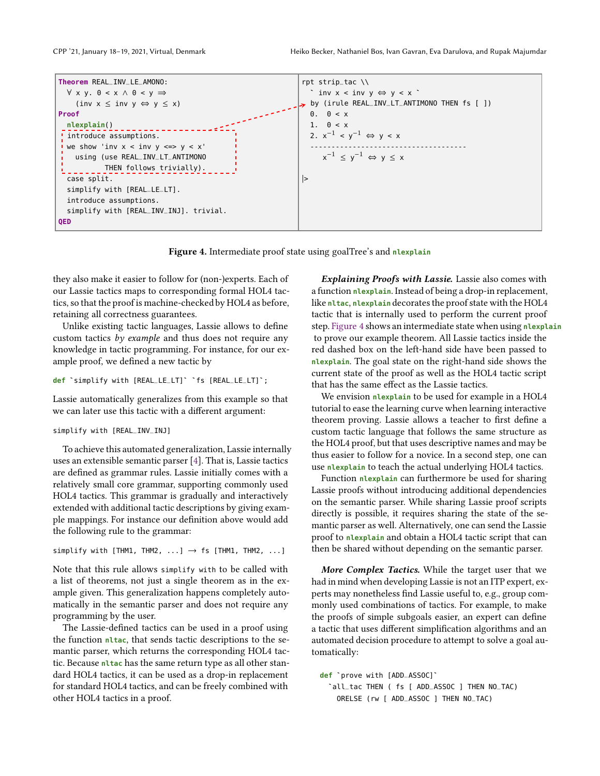<span id="page-3-0"></span>



Figure 4. Intermediate proof state using goalTree's and **nlexplain**

they also make it easier to follow for (non-)experts. Each of our Lassie tactics maps to corresponding formal HOL4 tactics, so that the proof is machine-checked by HOL4 as before, retaining all correctness guarantees.

Unlike existing tactic languages, Lassie allows to define custom tactics by example and thus does not require any knowledge in tactic programming. For instance, for our example proof, we defined a new tactic by

**def** `simplify with [REAL\_LE\_LT]` `fs [REAL\_LE\_LT]`;

Lassie automatically generalizes from this example so that we can later use this tactic with a different argument:

```
simplify with [REAL_INV_INJ]
```
To achieve this automated generalization, Lassie internally uses an extensible semantic parser [\[4\]](#page-11-10). That is, Lassie tactics are defined as grammar rules. Lassie initially comes with a relatively small core grammar, supporting commonly used HOL4 tactics. This grammar is gradually and interactively extended with additional tactic descriptions by giving example mappings. For instance our definition above would add the following rule to the grammar:

simplify with [THM1, THM2,  $\dots$ ]  $\rightarrow$  fs [THM1, THM2,  $\dots$ ]

Note that this rule allows simplify with to be called with a list of theorems, not just a single theorem as in the example given. This generalization happens completely automatically in the semantic parser and does not require any programming by the user.

The Lassie-defined tactics can be used in a proof using the function **nltac**, that sends tactic descriptions to the semantic parser, which returns the corresponding HOL4 tactic. Because **nltac** has the same return type as all other standard HOL4 tactics, it can be used as a drop-in replacement for standard HOL4 tactics, and can be freely combined with other HOL4 tactics in a proof.

*Explaining Proofs with Lassie.* Lassie also comes with a function **nlexplain**. Instead of being a drop-in replacement, like **nltac**, **nlexplain** decorates the proof state with the HOL4 tactic that is internally used to perform the current proof step. [Figure 4](#page-3-0) shows an intermediate state when using **nlexplain** to prove our example theorem. All Lassie tactics inside the red dashed box on the left-hand side have been passed to **nlexplain**. The goal state on the right-hand side shows the current state of the proof as well as the HOL4 tactic script that has the same effect as the Lassie tactics.

We envision **nlexplain** to be used for example in a HOL4 tutorial to ease the learning curve when learning interactive theorem proving. Lassie allows a teacher to first define a custom tactic language that follows the same structure as the HOL4 proof, but that uses descriptive names and may be thus easier to follow for a novice. In a second step, one can use **nlexplain** to teach the actual underlying HOL4 tactics.

Function **nlexplain** can furthermore be used for sharing Lassie proofs without introducing additional dependencies on the semantic parser. While sharing Lassie proof scripts directly is possible, it requires sharing the state of the semantic parser as well. Alternatively, one can send the Lassie proof to **nlexplain** and obtain a HOL4 tactic script that can then be shared without depending on the semantic parser.

*More Complex Tactics.* While the target user that we had in mind when developing Lassie is not an ITP expert, experts may nonetheless find Lassie useful to, e.g., group commonly used combinations of tactics. For example, to make the proofs of simple subgoals easier, an expert can define a tactic that uses different simplification algorithms and an automated decision procedure to attempt to solve a goal automatically:

**def** `prove with [ADD\_ASSOC]` `all\_tac THEN ( fs [ ADD\_ASSOC ] THEN NO\_TAC) ORELSE (rw [ ADD\_ASSOC ] THEN NO\_TAC)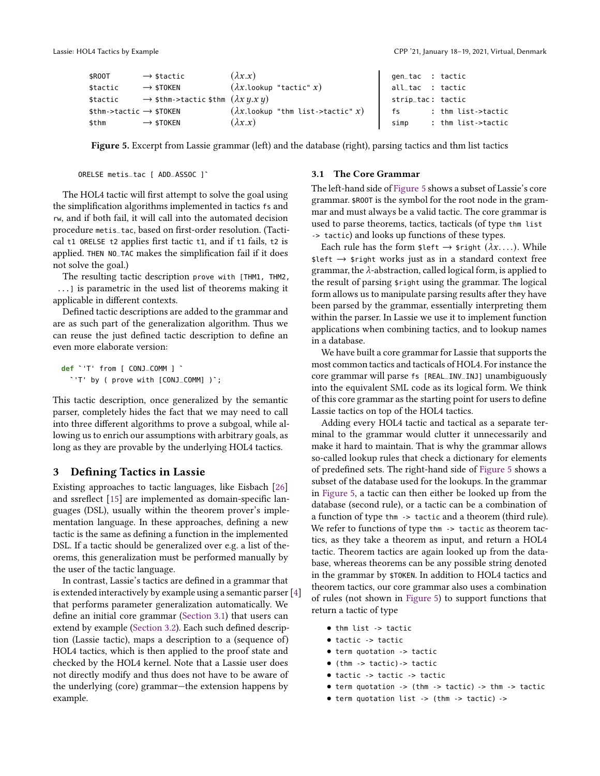<span id="page-4-2"></span>

| \$R00T                                | $\rightarrow$ \$tactic                                      | $(\lambda x.x)$                         | gen_tac : tactic  |                    |
|---------------------------------------|-------------------------------------------------------------|-----------------------------------------|-------------------|--------------------|
| \$tactic                              | $\rightarrow$ \$TOKEN                                       | $(\lambda x.\text{lookup 'tactic' } x)$ | all_tac : tactic  |                    |
| \$tactic                              | $\rightarrow$ \$thm->tactic \$thm $(\lambda x \, y.x \, y)$ |                                         | strip_tac: tactic |                    |
| $$thm$ ->tactic $\rightarrow$ \$TOKEN |                                                             | $(\lambda x.\text{lookup "thm list-}$   | $-$ fs            | : thm list->tactic |
| \$thm                                 | $\rightarrow$ \$TOKEN                                       | $(\lambda x.x)$                         | simp              | : thm list->tactic |

Figure 5. Excerpt from Lassie grammar (left) and the database (right), parsing tactics and thm list tactics

```
ORELSE metis_tac [ ADD_ASSOC ]`
```
The HOL4 tactic will first attempt to solve the goal using the simplification algorithms implemented in tactics fs and rw, and if both fail, it will call into the automated decision procedure metis\_tac, based on first-order resolution. (Tactical t1 ORELSE t2 applies first tactic t1, and if t1 fails, t2 is applied. THEN NO\_TAC makes the simplification fail if it does not solve the goal.)

The resulting tactic description prove with [THM1, THM2, ...] is parametric in the used list of theorems making it applicable in different contexts.

Defined tactic descriptions are added to the grammar and are as such part of the generalization algorithm. Thus we can reuse the just defined tactic description to define an even more elaborate version:

```
def `'T' from [ CONJ_COMM ] `
  `'T' by ( prove with [CONJ_COMM] )`;
```
This tactic description, once generalized by the semantic parser, completely hides the fact that we may need to call into three different algorithms to prove a subgoal, while allowing us to enrich our assumptions with arbitrary goals, as long as they are provable by the underlying HOL4 tactics.

# <span id="page-4-0"></span>3 Defining Tactics in Lassie

Existing approaches to tactic languages, like Eisbach [\[26\]](#page-11-7) and ssreflect [\[15\]](#page-11-6) are implemented as domain-specific languages (DSL), usually within the theorem prover's implementation language. In these approaches, defining a new tactic is the same as defining a function in the implemented DSL. If a tactic should be generalized over e.g. a list of theorems, this generalization must be performed manually by the user of the tactic language.

In contrast, Lassie's tactics are defined in a grammar that is extended interactively by example using a semantic parser [\[4](#page-11-10)] that performs parameter generalization automatically. We define an initial core grammar [\(Section 3.1\)](#page-4-1) that users can extend by example [\(Section 3.2\)](#page-5-0). Each such defined description (Lassie tactic), maps a description to a (sequence of) HOL4 tactics, which is then applied to the proof state and checked by the HOL4 kernel. Note that a Lassie user does not directly modify and thus does not have to be aware of the underlying (core) grammar—the extension happens by example.

#### <span id="page-4-1"></span>3.1 The Core Grammar

The left-hand side of [Figure 5](#page-4-2) shows a subset of Lassie's core grammar. \$ROOT is the symbol for the root node in the grammar and must always be a valid tactic. The core grammar is used to parse theorems, tactics, tacticals (of type thm list -> tactic) and looks up functions of these types.

Each rule has the form  $\text{Set} \rightarrow \text{grid}( \lambda x \ldots)$ . While  $\text{Set} \rightarrow \text{5 right works}$  just as in a standard context free grammar, the  $\lambda$ -abstraction, called logical form, is applied to the result of parsing \$right using the grammar. The logical form allows us to manipulate parsing results after they have been parsed by the grammar, essentially interpreting them within the parser. In Lassie we use it to implement function applications when combining tactics, and to lookup names in a database.

We have built a core grammar for Lassie that supports the most common tactics and tacticals of HOL4. For instance the core grammar will parse fs [REAL\_INV\_INJ] unambiguously into the equivalent SML code as its logical form. We think of this core grammar as the starting point for users to define Lassie tactics on top of the HOL4 tactics.

Adding every HOL4 tactic and tactical as a separate terminal to the grammar would clutter it unnecessarily and make it hard to maintain. That is why the grammar allows so-called lookup rules that check a dictionary for elements of predefined sets. The right-hand side of [Figure 5](#page-4-2) shows a subset of the database used for the lookups. In the grammar in [Figure 5,](#page-4-2) a tactic can then either be looked up from the database (second rule), or a tactic can be a combination of a function of type thm -> tactic and a theorem (third rule). We refer to functions of type thm -> tactic as theorem tactics, as they take a theorem as input, and return a HOL4 tactic. Theorem tactics are again looked up from the database, whereas theorems can be any possible string denoted in the grammar by \$TOKEN. In addition to HOL4 tactics and theorem tactics, our core grammar also uses a combination of rules (not shown in [Figure 5\)](#page-4-2) to support functions that return a tactic of type

- thm list -> tactic
- tactic -> tactic
- term quotation -> tactic
- (thm -> tactic)-> tactic
- tactic -> tactic -> tactic
- term quotation -> (thm -> tactic) -> thm -> tactic
- term quotation list -> (thm -> tactic) ->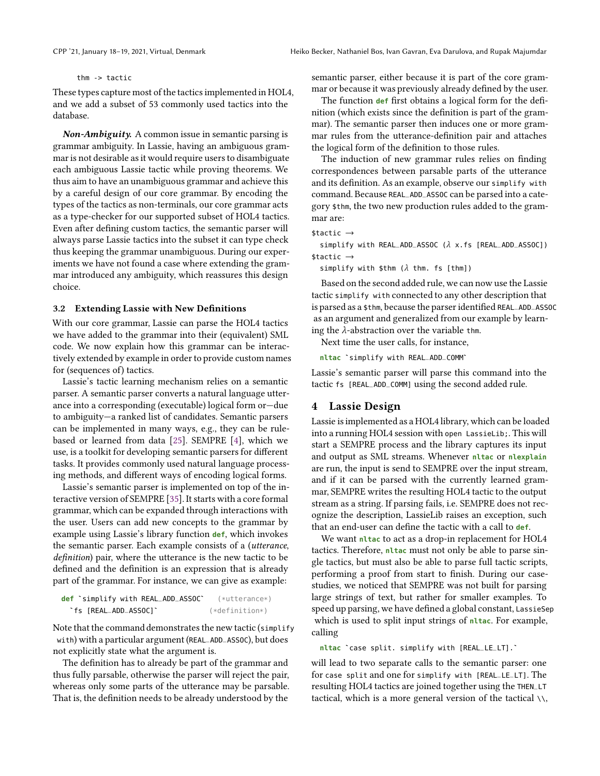thm -> tactic

These types capture most of the tactics implemented in HOL4, and we add a subset of 53 commonly used tactics into the database.

*Non-Ambiguity.* A common issue in semantic parsing is grammar ambiguity. In Lassie, having an ambiguous grammar is not desirable as it would require users to disambiguate each ambiguous Lassie tactic while proving theorems. We thus aim to have an unambiguous grammar and achieve this by a careful design of our core grammar. By encoding the types of the tactics as non-terminals, our core grammar acts as a type-checker for our supported subset of HOL4 tactics. Even after defining custom tactics, the semantic parser will always parse Lassie tactics into the subset it can type check thus keeping the grammar unambiguous. During our experiments we have not found a case where extending the grammar introduced any ambiguity, which reassures this design choice.

#### <span id="page-5-0"></span>3.2 Extending Lassie with New Definitions

With our core grammar, Lassie can parse the HOL4 tactics we have added to the grammar into their (equivalent) SML code. We now explain how this grammar can be interactively extended by example in order to provide custom names for (sequences of) tactics.

Lassie's tactic learning mechanism relies on a semantic parser. A semantic parser converts a natural language utterance into a corresponding (executable) logical form or—due to ambiguity—a ranked list of candidates. Semantic parsers can be implemented in many ways, e.g., they can be rulebased or learned from data [25]. SEMPRE [\[4](#page-11-10)], which we use, is a toolkit for developing semantic parsers for different tasks. It provides commonly used natural language processing methods, and different ways of encoding logical forms.

Lassie's semantic parser is implemented on top of the interactive version of SEMPRE [35]. It starts with a core formal grammar, which can be expanded through interactions with the user. Users can add new concepts to the grammar by example using Lassie's library function **def**, which invokes the semantic parser. Each example consists of a (utterance, definition) pair, where the utterance is the new tactic to be defined and the definition is an expression that is already part of the grammar. For instance, we can give as example:

| def `simplify with REAL_ADD_ASSOC` | $(**$ utterance $*$ |
|------------------------------------|---------------------|
| `fs [REAL_ADD_ASSOC]`              | $(*definition*)$    |

Note that the command demonstrates the new tactic (simplify with) with a particular argument (REAL\_ADD\_ASSOC), but does not explicitly state what the argument is.

The definition has to already be part of the grammar and thus fully parsable, otherwise the parser will reject the pair, whereas only some parts of the utterance may be parsable. That is, the definition needs to be already understood by the

semantic parser, either because it is part of the core grammar or because it was previously already defined by the user.

The function **def** first obtains a logical form for the definition (which exists since the definition is part of the grammar). The semantic parser then induces one or more grammar rules from the utterance-definition pair and attaches the logical form of the definition to those rules.

The induction of new grammar rules relies on finding correspondences between parsable parts of the utterance and its definition. As an example, observe our simplify with command. Because REAL\_ADD\_ASSOC can be parsed into a category \$thm, the two new production rules added to the grammar are:

```
$tactic →
```
simplify with REAL\_ADD\_ASSOC ( $\lambda$  x.fs [REAL\_ADD\_ASSOC]) \$tactic →

simplify with \$thm ( $\lambda$  thm. fs [thm])

Based on the second added rule, we can now use the Lassie tactic simplify with connected to any other description that is parsed as a \$thm, because the parser identified REAL\_ADD\_ASSOC as an argument and generalized from our example by learning the  $\lambda$ -abstraction over the variable thm.

Next time the user calls, for instance,

**nltac** `simplify with REAL\_ADD\_COMM`

Lassie's semantic parser will parse this command into the tactic fs [REAL\_ADD\_COMM] using the second added rule.

#### 4 Lassie Design

Lassie is implemented as a HOL4 library, which can be loaded into a running HOL4 session with open LassieLib;. This will start a SEMPRE process and the library captures its input and output as SML streams. Whenever **nltac** or **nlexplain** are run, the input is send to SEMPRE over the input stream, and if it can be parsed with the currently learned grammar, SEMPRE writes the resulting HOL4 tactic to the output stream as a string. If parsing fails, i.e. SEMPRE does not recognize the description, LassieLib raises an exception, such that an end-user can define the tactic with a call to **def**.

We want **nltac** to act as a drop-in replacement for HOL4 tactics. Therefore, **nltac** must not only be able to parse single tactics, but must also be able to parse full tactic scripts, performing a proof from start to finish. During our casestudies, we noticed that SEMPRE was not built for parsing large strings of text, but rather for smaller examples. To speed up parsing, we have defined a global constant, LassieSep which is used to split input strings of **nltac**. For example, calling

**nltac** `case split. simplify with [REAL\_LE\_LT].`

will lead to two separate calls to the semantic parser: one for case split and one for simplify with [REAL\_LE\_LT]. The resulting HOL4 tactics are joined together using the THEN\_LT tactical, which is a more general version of the tactical  $\setminus \setminus$ ,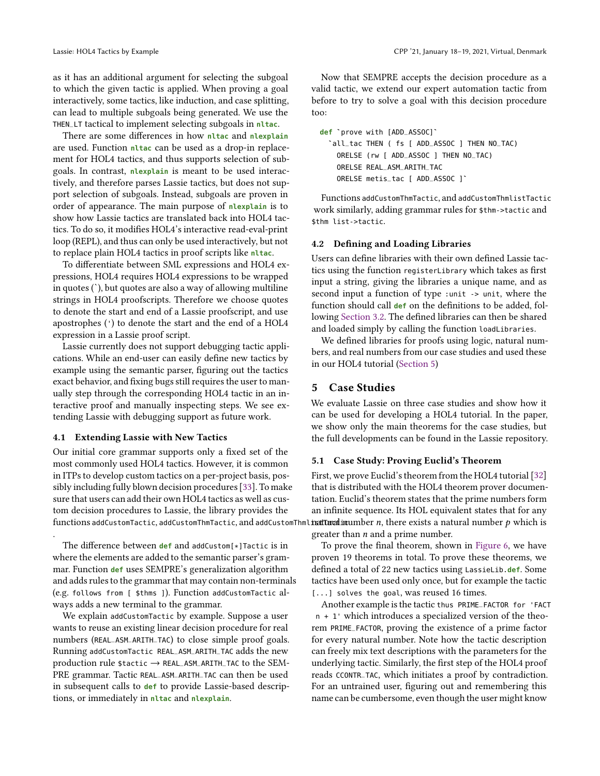as it has an additional argument for selecting the subgoal to which the given tactic is applied. When proving a goal interactively, some tactics, like induction, and case splitting, can lead to multiple subgoals being generated. We use the THEN\_LT tactical to implement selecting subgoals in **nltac**.

There are some differences in how **nltac** and **nlexplain** are used. Function **nltac** can be used as a drop-in replacement for HOL4 tactics, and thus supports selection of subgoals. In contrast, **nlexplain** is meant to be used interactively, and therefore parses Lassie tactics, but does not support selection of subgoals. Instead, subgoals are proven in order of appearance. The main purpose of **nlexplain** is to show how Lassie tactics are translated back into HOL4 tactics. To do so, it modifies HOL4's interactive read-eval-print loop (REPL), and thus can only be used interactively, but not to replace plain HOL4 tactics in proof scripts like **nltac**.

To differentiate between SML expressions and HOL4 expressions, HOL4 requires HOL4 expressions to be wrapped in quotes (`), but quotes are also a way of allowing multiline strings in HOL4 proofscripts. Therefore we choose quotes to denote the start and end of a Lassie proofscript, and use apostrophes (') to denote the start and the end of a HOL4 expression in a Lassie proof script.

Lassie currently does not support debugging tactic applications. While an end-user can easily define new tactics by example using the semantic parser, figuring out the tactics exact behavior, and fixing bugs still requires the user to manually step through the corresponding HOL4 tactic in an interactive proof and manually inspecting steps. We see extending Lassie with debugging support as future work.

### 4.1 Extending Lassie with New Tactics

.

Our initial core grammar supports only a fixed set of the most commonly used HOL4 tactics. However, it is common in ITPs to develop custom tactics on a per-project basis, possibly including fully blown decision procedures [\[33](#page-12-3)]. To make sure that users can add their own HOL4 tactics as well as custom decision procedures to Lassie, the library provides the functions addCustomTactic, addCustomThmTactic, and addCustomThml**irattTaratliru**umber  $n$ , there exists a natural number  $p$  which is

The difference between **def** and addCustom[\*]Tactic is in where the elements are added to the semantic parser's grammar. Function **def** uses SEMPRE's generalization algorithm and adds rules to the grammar that may contain non-terminals (e.g. follows from [ \$thms ]). Function addCustomTactic always adds a new terminal to the grammar.

We explain addCustomTactic by example. Suppose a user wants to reuse an existing linear decision procedure for real numbers (REAL\_ASM\_ARITH\_TAC) to close simple proof goals. Running addCustomTactic REAL\_ASM\_ARITH\_TAC adds the new production rule \$tactic → REAL\_ASM\_ARITH\_TAC to the SEM-PRE grammar. Tactic REAL\_ASM\_ARITH\_TAC can then be used in subsequent calls to **def** to provide Lassie-based descriptions, or immediately in **nltac** and **nlexplain**.

Now that SEMPRE accepts the decision procedure as a valid tactic, we extend our expert automation tactic from before to try to solve a goal with this decision procedure too:

| def `prove with [ADD_ASSOC]`                  |
|-----------------------------------------------|
| `all_tac THEN ( fs [ ADD_ASSOC ] THEN NO_TAC) |
| ORELSE (rw [ ADD_ASSOC ] THEN NO_TAC)         |
| ORELSE REAL ASM ARITH TAC                     |
| ORELSE metis_tac [ ADD_ASSOC ]`               |

Functions addCustomThmTactic, and addCustomThmlistTactic work similarly, adding grammar rules for \$thm->tactic and \$thm list->tactic.

#### 4.2 Defining and Loading Libraries

Users can define libraries with their own defined Lassie tactics using the function registerLibrary which takes as first input a string, giving the libraries a unique name, and as second input a function of type :unit -> unit, where the function should call **def** on the definitions to be added, following [Section 3.2.](#page-5-0) The defined libraries can then be shared and loaded simply by calling the function loadLibraries.

We defined libraries for proofs using logic, natural numbers, and real numbers from our case studies and used these in our HOL4 tutorial [\(Section 5\)](#page-6-0)

## <span id="page-6-0"></span>5 Case Studies

We evaluate Lassie on three case studies and show how it can be used for developing a HOL4 tutorial. In the paper, we show only the main theorems for the case studies, but the full developments can be found in the Lassie repository.

#### 5.1 Case Study: Proving Euclid's Theorem

First, we prove Euclid's theorem from the HOL4 tutorial [\[32\]](#page-11-11) that is distributed with the HOL4 theorem prover documentation. Euclid's theorem states that the prime numbers form an infinite sequence. Its HOL equivalent states that for any greater than  $n$  and a prime number.

To prove the final theorem, shown in [Figure 6,](#page-7-0) we have proven 19 theorems in total. To prove these theorems, we defined a total of 22 new tactics using LassieLib.**def**. Some tactics have been used only once, but for example the tactic [...] solves the goal, was reused 16 times.

Another example is the tactic thus PRIME\_FACTOR for 'FACT n + 1' which introduces a specialized version of the theorem PRIME\_FACTOR, proving the existence of a prime factor for every natural number. Note how the tactic description can freely mix text descriptions with the parameters for the underlying tactic. Similarly, the first step of the HOL4 proof reads CCONTR\_TAC, which initiates a proof by contradiction. For an untrained user, figuring out and remembering this name can be cumbersome, even though the user might know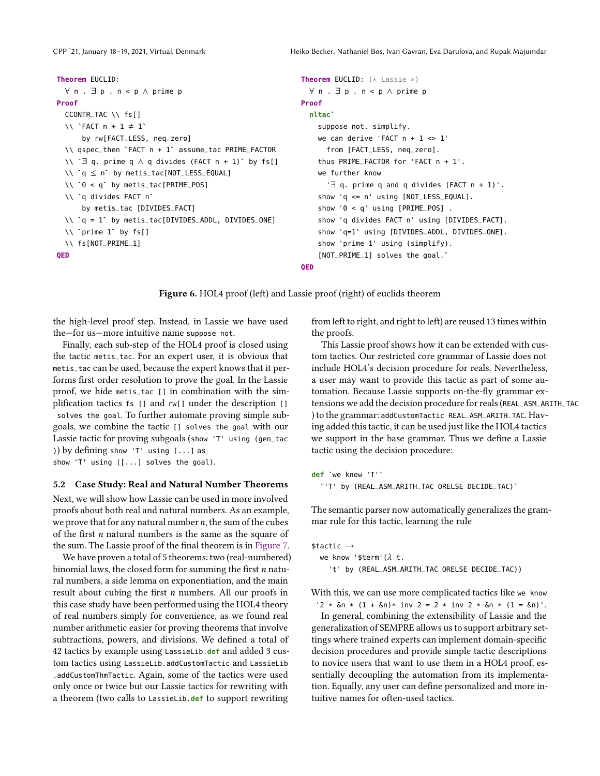```
Theorem EUCLID:
  ∀ n . ∃ p . n < p ∧ prime p
Proof
  CCONTR_TAC \\ fs[]
  \setminus\setminus `FACT n + 1 \neq 1`
      by rw[FACT_LESS, neq_zero]
  \\ qspec_then `FACT n + 1` assume_tac PRIME_FACTOR
  \\ `∃ q. prime q ∧ q divides (FACT n + 1)` by fs[]
  \\ `q ≤ n` by metis_tac[NOT_LESS_EQUAL]
  \\ `0 < q` by metis_tac[PRIME_POS]
  \\ `q divides FACT n`
      by metis_tac [DIVIDES_FACT]
  \\ `q = 1` by metis_tac[DIVIDES_ADDL, DIVIDES_ONE]
  \\ `prime 1` by fs[]
  \\ fs[NOT_PRIME_1]
QED
                                                            Theorem EUCLID: (* Lassie *)
                                                              ∀ n . ∃ p . n < p ∧ prime p
                                                            Proof
                                                              nltac`
                                                                suppose not. simplify.
                                                                we can derive 'FACT n + 1 <> 1'
                                                                  from [FACT_LESS, neq_zero].
                                                                thus PRIME_FACTOR for 'FACT n + 1'.
                                                                we further know
                                                                   '∃ q. prime q and q divides (FACT n + 1)'.
                                                                show 'q <= n' using [NOT_LESS_EQUAL].
                                                                show '0 < q' using [PRIME_POS] .
                                                                show 'q divides FACT n' using [DIVIDES_FACT].
                                                                show 'q=1' using [DIVIDES_ADDL, DIVIDES_ONE].
                                                                show 'prime 1' using (simplify).
                                                                [NOT_PRIME_1] solves the goal.`
```
**QED**

Figure 6. HOL4 proof (left) and Lassie proof (right) of euclids theorem

the high-level proof step. Instead, in Lassie we have used the—for us—more intuitive name suppose not.

Finally, each sub-step of the HOL4 proof is closed using the tactic metis\_tac. For an expert user, it is obvious that metis\_tac can be used, because the expert knows that it performs first order resolution to prove the goal. In the Lassie proof, we hide metis\_tac [] in combination with the simplification tactics fs [] and rw[] under the description [] solves the goal. To further automate proving simple subgoals, we combine the tactic [] solves the goal with our Lassie tactic for proving subgoals (show 'T' using (gen\_tac )) by defining show 'T' using [...] as

show 'T' using ([...] solves the goal).

#### 5.2 Case Study: Real and Natural Number Theorems

Next, we will show how Lassie can be used in more involved proofs about both real and natural numbers. As an example, we prove that for any natural number  $n$ , the sum of the cubes of the first  $n$  natural numbers is the same as the square of the sum. The Lassie proof of the final theorem is in [Figure 7.](#page-8-0)

We have proven a total of 5 theorems: two (real-numbered) binomial laws, the closed form for summing the first  $n$  natural numbers, a side lemma on exponentiation, and the main result about cubing the first  $n$  numbers. All our proofs in this case study have been performed using the HOL4 theory of real numbers simply for convenience, as we found real number arithmetic easier for proving theorems that involve subtractions, powers, and divisions. We defined a total of 42 tactics by example using LassieLib.**def** and added 3 custom tactics using LassieLib.addCustomTactic and LassieLib .addCustomThmTactic. Again, some of the tactics were used only once or twice but our Lassie tactics for rewriting with a theorem (two calls to LassieLib.**def** to support rewriting

from left to right, and right to left) are reused 13 times within the proofs.

This Lassie proof shows how it can be extended with custom tactics. Our restricted core grammar of Lassie does not include HOL4's decision procedure for reals. Nevertheless, a user may want to provide this tactic as part of some automation. Because Lassie supports on-the-fly grammar extensions we add the decision procedure for reals (REAL\_ASM\_ARITH\_TAC ) to the grammar: addCustomTactic REAL\_ASM\_ARITH\_TAC. Having added this tactic, it can be used just like the HOL4 tactics we support in the base grammar. Thus we define a Lassie tactic using the decision procedure:

**def** `we know 'T'` `'T' by (REAL\_ASM\_ARITH\_TAC ORELSE DECIDE\_TAC)`

The semantic parser now automatically generalizes the grammar rule for this tactic, learning the rule

```
$tactic →
 we know '$term'(\lambda t.
    't' by (REAL_ASM_ARITH_TAC ORELSE DECIDE_TAC))
```
With this, we can use more complicated tactics like we know

'2 \*  $\delta n$  \* (1 +  $\delta n$ )\* inv 2 = 2 \* inv 2 \*  $\delta n$  \* (1 =  $\delta n$ )'. In general, combining the extensibility of Lassie and the generalization of SEMPRE allows us to support arbitrary settings where trained experts can implement domain-specific decision procedures and provide simple tactic descriptions to novice users that want to use them in a HOL4 proof, essentially decoupling the automation from its implementation. Equally, any user can define personalized and more intuitive names for often-used tactics.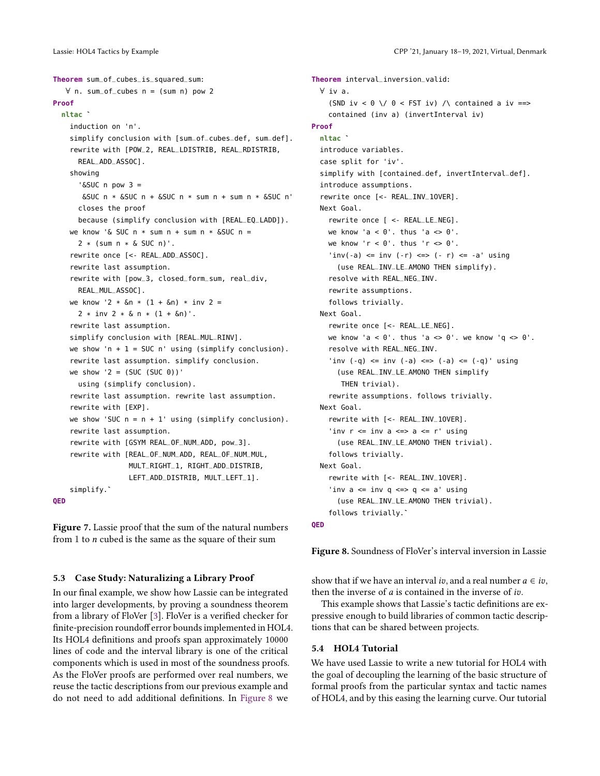```
Theorem sum_of_cubes_is_squared_sum:
   ∀ n. sum_of_cubes n = (sum n) pow 2
Proof
 nltac `
    induction on 'n'.
    simplify conclusion with [sum_of_cubes_def, sum_def].
    rewrite with [POW_2, REAL_LDISTRIB, REAL_RDISTRIB,
      REAL_ADD_ASSOC].
    showing
      '&SUC n pow 3 =
       \&SUC n * \&SUC n + \&SUC n * sum n + sum n * \&SUC n'
      closes the proof
      because (simplify conclusion with [REAL_EQ_LADD]).
   we know '& SUC n * sum n + sum n *  & SUC n =2 * (sum n * \& SUC n)'.
    rewrite once [<- REAL_ADD_ASSOC].
    rewrite last assumption.
    rewrite with [pow_3, closed_form_sum, real_div,
      REAL_MUL_ASSOC].
   we know '2 * &n * (1 + &n) * inv 2 =
      2 * inv 2 * \delta n * (1 + \delta n).
    rewrite last assumption.
    simplify conclusion with [REAL_MUL_RINV].
   we show 'n + 1 = SUC n' using (simplify conclusion).
    rewrite last assumption. simplify conclusion.
   we show '2 = (SUC (SUC 0))'using (simplify conclusion).
    rewrite last assumption. rewrite last assumption.
    rewrite with [EXP].
    we show 'SUC n = n + 1' using (simplify conclusion).
    rewrite last assumption.
    rewrite with [GSYM REAL_OF_NUM_ADD, pow_3].
    rewrite with [REAL_OF_NUM_ADD, REAL_OF_NUM_MUL,
                  MULT_RIGHT_1, RIGHT_ADD_DISTRIB,
                  LEFT_ADD_DISTRIB, MULT_LEFT_1].
    simplify.`
QED
```
Figure 7. Lassie proof that the sum of the natural numbers from 1 to  $n$  cubed is the same as the square of their sum

### 5.3 Case Study: Naturalizing a Library Proof

In our final example, we show how Lassie can be integrated into larger developments, by proving a soundness theorem from a library of FloVer [\[3](#page-11-14)]. FloVer is a verified checker for finite-precision roundoff error bounds implemented in HOL4. Its HOL4 definitions and proofs span approximately 10000 lines of code and the interval library is one of the critical components which is used in most of the soundness proofs. As the FloVer proofs are performed over real numbers, we reuse the tactic descriptions from our previous example and do not need to add additional definitions. In [Figure 8](#page-8-1) we

<span id="page-8-1"></span>**Theorem** interval\_inversion\_valid: ∀ iv a. (SND iv <  $0 \setminus 0$  < FST iv)  $\setminus$  contained a iv ==> contained (inv a) (invertInterval iv) **Proof nltac** ` introduce variables. case split for 'iv'. simplify with [contained\_def, invertInterval\_def]. introduce assumptions. rewrite once [<- REAL\_INV\_1OVER]. Next Goal. rewrite once [ <- REAL\_LE\_NEG]. we know 'a <  $0'$ . thus 'a  $\leq 0'$ . we know ' $r < 0$ '. thus ' $r < 0$ '.  $'inv(-a) \le inv(-r) \le -|r| \le -a' \ using$ (use REAL\_INV\_LE\_AMONO THEN simplify). resolve with REAL\_NEG\_INV. rewrite assumptions. follows trivially. Next Goal. rewrite once [<- REAL\_LE\_NEG]. we know 'a <  $0'$ . thus 'a <>  $0'$ . we know 'q <>  $0'$ . resolve with REAL\_NEG\_INV. 'inv  $(-q)$  <= inv  $(-a)$  <=>  $(-a)$  <=  $(-q)$ ' using (use REAL\_INV\_LE\_AMONO THEN simplify THEN trivial). rewrite assumptions. follows trivially. Next Goal. rewrite with [<- REAL\_INV\_1OVER]. 'inv  $r \leq i$ nv a  $\leq$  > a  $\leq r'$  using (use REAL\_INV\_LE\_AMONO THEN trivial). follows trivially. Next Goal. rewrite with [<- REAL\_INV\_1OVER]. 'inv  $a \leq inv q \leq a q \leq a'$  using (use REAL\_INV\_LE\_AMONO THEN trivial). follows trivially.` **QED**

Figure 8. Soundness of FloVer's interval inversion in Lassie

show that if we have an interval *iv*, and a real number  $a \in iv$ , then the inverse of  $a$  is contained in the inverse of  $iv$ .

This example shows that Lassie's tactic definitions are expressive enough to build libraries of common tactic descriptions that can be shared between projects.

#### 5.4 HOL4 Tutorial

We have used Lassie to write a new tutorial for HOL4 with the goal of decoupling the learning of the basic structure of formal proofs from the particular syntax and tactic names of HOL4, and by this easing the learning curve. Our tutorial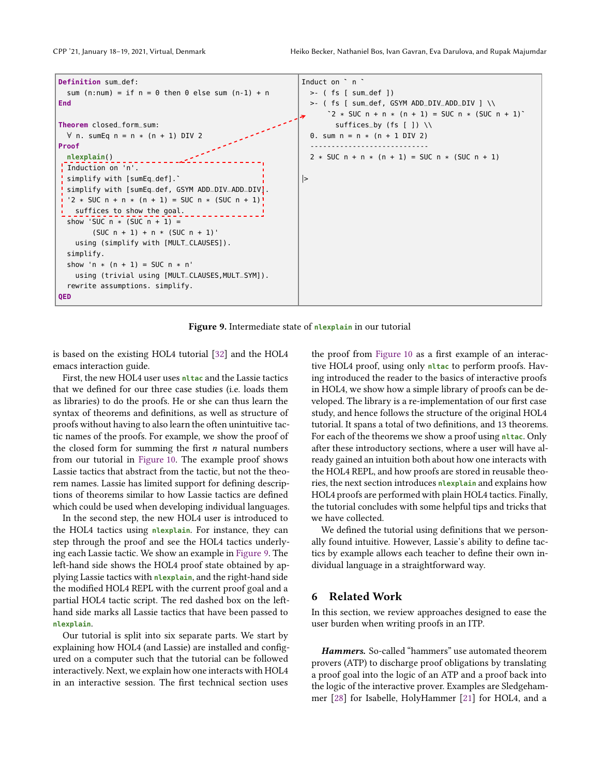<span id="page-9-0"></span>

Figure 9. Intermediate state of **nlexplain** in our tutorial

is based on the existing HOL4 tutorial [\[32\]](#page-11-11) and the HOL4 emacs interaction guide.

First, the new HOL4 user uses **nltac** and the Lassie tactics that we defined for our three case studies (i.e. loads them as libraries) to do the proofs. He or she can thus learn the syntax of theorems and definitions, as well as structure of proofs without having to also learn the often unintuitive tactic names of the proofs. For example, we show the proof of the closed form for summing the first  $n$  natural numbers from our tutorial in [Figure 10.](#page-10-0) The example proof shows Lassie tactics that abstract from the tactic, but not the theorem names. Lassie has limited support for defining descriptions of theorems similar to how Lassie tactics are defined which could be used when developing individual languages.

In the second step, the new HOL4 user is introduced to the HOL4 tactics using **nlexplain**. For instance, they can step through the proof and see the HOL4 tactics underlying each Lassie tactic. We show an example in [Figure 9.](#page-9-0) The left-hand side shows the HOL4 proof state obtained by applying Lassie tactics with **nlexplain**, and the right-hand side the modified HOL4 REPL with the current proof goal and a partial HOL4 tactic script. The red dashed box on the lefthand side marks all Lassie tactics that have been passed to **nlexplain**.

Our tutorial is split into six separate parts. We start by explaining how HOL4 (and Lassie) are installed and configured on a computer such that the tutorial can be followed interactively. Next, we explain how one interacts with HOL4 in an interactive session. The first technical section uses

the proof from [Figure 10](#page-10-0) as a first example of an interactive HOL4 proof, using only **nltac** to perform proofs. Having introduced the reader to the basics of interactive proofs in HOL4, we show how a simple library of proofs can be developed. The library is a re-implementation of our first case study, and hence follows the structure of the original HOL4 tutorial. It spans a total of two definitions, and 13 theorems. For each of the theorems we show a proof using **nltac**. Only after these introductory sections, where a user will have already gained an intuition both about how one interacts with the HOL4 REPL, and how proofs are stored in reusable theories, the next section introduces **nlexplain** and explains how HOL4 proofs are performed with plain HOL4 tactics. Finally, the tutorial concludes with some helpful tips and tricks that we have collected.

We defined the tutorial using definitions that we personally found intuitive. However, Lassie's ability to define tactics by example allows each teacher to define their own individual language in a straightforward way.

# 6 Related Work

In this section, we review approaches designed to ease the user burden when writing proofs in an ITP.

*Hammers.* So-called "hammers" use automated theorem provers (ATP) to discharge proof obligations by translating a proof goal into the logic of an ATP and a proof back into the logic of the interactive prover. Examples are Sledgehammer [\[28\]](#page-11-15) for Isabelle, HolyHammer [\[21\]](#page-11-16) for HOL4, and a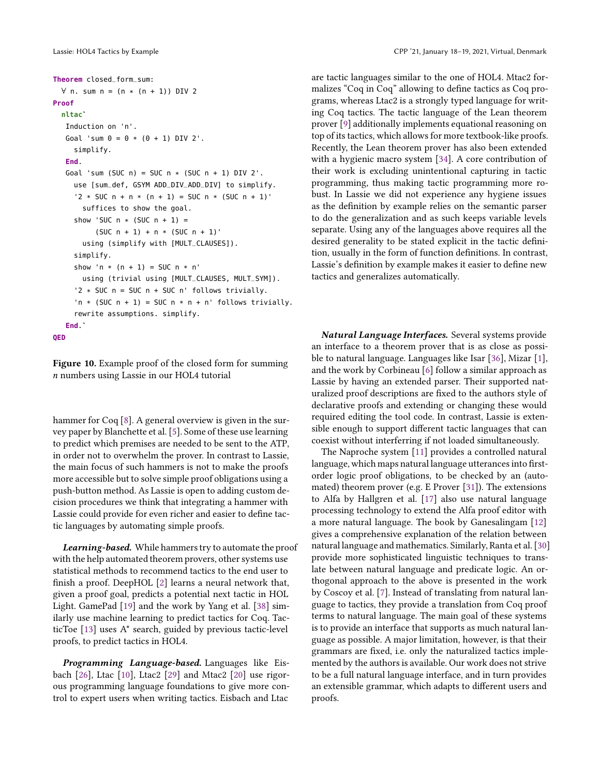```
Theorem closed_form_sum:
 ∀ n. sum n = (n * (n + 1)) DIV 2
Proof
  nltac`
   Induction on 'n'.
   Goal 'sum 0 = 0 * (0 + 1) DIV 2'.
     simplify.
   End.
   Goal 'sum (SUC n) = SUC n * (SUC n + 1) DIV 2'.
     use [sum_def, GSYM ADD_DIV_ADD_DIV] to simplify.
     '2 * SUC n + n * (n + 1) = SUC n * (SUC n + 1)'suffices to show the goal.
    show 'SUC n * (SUC n + 1) =(SUC n + 1) + n * (SUC n + 1)'using (simplify with [MULT_CLAUSES]).
     simplify.
     show 'n * (n + 1) = SUC n * n'
       using (trivial using [MULT_CLAUSES, MULT_SYM]).
     '2 * SUC n = SUC n + SUC n' follows trivially.
     'n * (SUC n + 1) = SUC n * n + n' follows trivially.
     rewrite assumptions. simplify.
   End.`
QED
```
Figure 10. Example proof of the closed form for summing  $n$  numbers using Lassie in our HOL4 tutorial

hammer for Coq [\[8](#page-11-17)]. A general overview is given in the survey paper by Blanchette et al. [\[5](#page-11-18)]. Some of these use learning to predict which premises are needed to be sent to the ATP, in order not to overwhelm the prover. In contrast to Lassie, the main focus of such hammers is not to make the proofs more accessible but to solve simple proof obligations using a push-button method. As Lassie is open to adding custom decision procedures we think that integrating a hammer with Lassie could provide for even richer and easier to define tactic languages by automating simple proofs.

*Learning-based.* While hammers try to automate the proof with the help automated theorem provers, other systems use statistical methods to recommend tactics to the end user to finish a proof. DeepHOL [\[2\]](#page-11-19) learns a neural network that, given a proof goal, predicts a potential next tactic in HOL Light. GamePad [\[19](#page-11-20)] and the work by Yang et al. [\[38\]](#page-12-4) similarly use machine learning to predict tactics for Coq. TacticToe [\[13](#page-11-21)] uses A\* search, guided by previous tactic-level proofs, to predict tactics in HOL4.

*Programming Language-based.* Languages like Eisbach [\[26\]](#page-11-7), Ltac [\[10\]](#page-11-5), Ltac2 [\[29\]](#page-11-22) and Mtac2 [\[20\]](#page-11-23) use rigorous programming language foundations to give more control to expert users when writing tactics. Eisbach and Ltac

are tactic languages similar to the one of HOL4. Mtac2 formalizes "Coq in Coq" allowing to define tactics as Coq programs, whereas Ltac2 is a strongly typed language for writing Coq tactics. The tactic language of the Lean theorem prover [\[9\]](#page-11-24) additionally implements equational reasoning on top of its tactics, which allows for more textbook-like proofs. Recently, the Lean theorem prover has also been extended with a hygienic macro system [\[34](#page-12-5)]. A core contribution of their work is excluding unintentional capturing in tactic programming, thus making tactic programming more robust. In Lassie we did not experience any hygiene issues as the definition by example relies on the semantic parser to do the generalization and as such keeps variable levels separate. Using any of the languages above requires all the desired generality to be stated explicit in the tactic definition, usually in the form of function definitions. In contrast, Lassie's definition by example makes it easier to define new tactics and generalizes automatically.

*Natural Language Interfaces.* Several systems provide an interface to a theorem prover that is as close as possible to natural language. Languages like Isar [\[36\]](#page-12-2), Mizar [\[1](#page-11-8)], and the work by Corbineau [\[6\]](#page-11-25) follow a similar approach as Lassie by having an extended parser. Their supported naturalized proof descriptions are fixed to the authors style of declarative proofs and extending or changing these would required editing the tool code. In contrast, Lassie is extensible enough to support different tactic languages that can coexist without interferring if not loaded simultaneously.

The Naproche system [\[11\]](#page-11-9) provides a controlled natural language, which maps natural language utterances into firstorder logic proof obligations, to be checked by an (automated) theorem prover (e.g. E Prover [\[31\]](#page-11-26)). The extensions to Alfa by Hallgren et al. [\[17\]](#page-11-27) also use natural language processing technology to extend the Alfa proof editor with a more natural language. The book by Ganesalingam [\[12\]](#page-11-28) gives a comprehensive explanation of the relation between natural language and mathematics. Similarly, Ranta et al. [\[30](#page-11-29)] provide more sophisticated linguistic techniques to translate between natural language and predicate logic. An orthogonal approach to the above is presented in the work by Coscoy et al. [\[7\]](#page-11-30). Instead of translating from natural language to tactics, they provide a translation from Coq proof terms to natural language. The main goal of these systems is to provide an interface that supports as much natural language as possible. A major limitation, however, is that their grammars are fixed, i.e. only the naturalized tactics implemented by the authors is available. Our work does not strive to be a full natural language interface, and in turn provides an extensible grammar, which adapts to different users and proofs.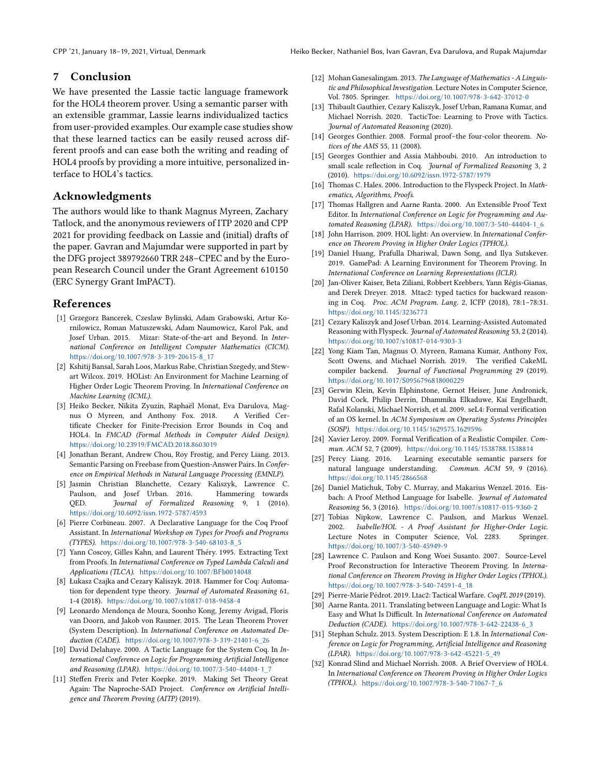# 7 Conclusion

We have presented the Lassie tactic language framework for the HOL4 theorem prover. Using a semantic parser with an extensible grammar, Lassie learns individualized tactics from user-provided examples. Our example case studies show that these learned tactics can be easily reused across different proofs and can ease both the writing and reading of HOL4 proofs by providing a more intuitive, personalized interface to HOL4's tactics.

# Acknowledgments

The authors would like to thank Magnus Myreen, Zachary Tatlock, and the anonymous reviewers of ITP 2020 and CPP 2021 for providing feedback on Lassie and (initial) drafts of the paper. Gavran and Majumdar were supported in part by the DFG project 389792660 TRR 248–CPEC and by the European Research Council under the Grant Agreement 610150 (ERC Synergy Grant ImPACT).

#### References

- <span id="page-11-8"></span>[1] Grzegorz Bancerek, Czeslaw Bylinski, Adam Grabowski, Artur Kornilowicz, Roman Matuszewski, Adam Naumowicz, Karol Pak, and Josef Urban. 2015. Mizar: State-of-the-art and Beyond. In International Conference on Intelligent Computer Mathematics (CICM). https://doi.org/10.1007/978-3-319-20615-8\_17
- <span id="page-11-19"></span>[2] Kshitij Bansal, Sarah Loos, Markus Rabe, Christian Szegedy, and Stewart Wilcox. 2019. HOList: An Environment for Machine Learning of Higher Order Logic Theorem Proving. In International Conference on Machine Learning (ICML).
- <span id="page-11-14"></span>[3] Heiko Becker, Nikita Zyuzin, Raphaël Monat, Eva Darulova, Magnus O Myreen, and Anthony Fox. 2018. A Verified Certificate Checker for Finite-Precision Error Bounds in Coq and HOL4. In FMCAD (Formal Methods in Computer Aided Design). https://doi.org/10.23919/FMCAD.2018.8603019
- <span id="page-11-10"></span>[4] Jonathan Berant, Andrew Chou, Roy Frostig, and Percy Liang. 2013. Semantic Parsing on Freebase from Question-Answer Pairs. In Conference on Empirical Methods in Natural Language Processing (EMNLP).
- <span id="page-11-18"></span>[5] Jasmin Christian Blanchette, Cezary Kaliszyk, Lawrence C. Paulson, and Josef Urban. 2016. Hammering towards QED. Journal of Formalized Reasoning 9, 1 (2016). https://doi.org/10.6092/issn.1972-5787/4593
- <span id="page-11-25"></span>[6] Pierre Corbineau. 2007. A Declarative Language for the Coq Proof Assistant. In International Workshop on Types for Proofs and Programs (TYPES). https://doi.org/10.1007/978-3-540-68103-8\_5
- <span id="page-11-30"></span>[7] Yann Coscoy, Gilles Kahn, and Laurent Théry. 1995. Extracting Text from Proofs. In International Conference on Typed Lambda Calculi and Applications (TLCA). https://doi.org/10.1007/BFb0014048
- <span id="page-11-17"></span>[8] Łukasz Czajka and Cezary Kaliszyk. 2018. Hammer for Coq: Automation for dependent type theory. Journal of Automated Reasoning 61, 1-4 (2018). https://doi.org/10.1007/s10817-018-9458-4
- <span id="page-11-24"></span>[9] Leonardo Mendonça de Moura, Soonho Kong, Jeremy Avigad, Floris van Doorn, and Jakob von Raumer. 2015. The Lean Theorem Prover (System Description). In International Conference on Automated Deduction (CADE). https://doi.org/10.1007/978-3-319-21401-6\_26
- <span id="page-11-5"></span>[10] David Delahaye. 2000. A Tactic Language for the System Coq. In International Conference on Logic for Programming Artificial Intelligence and Reasoning (LPAR). https://doi.org/10.1007/3-540-44404-1\_7
- <span id="page-11-9"></span>[11] Steffen Frerix and Peter Koepke. 2019. Making Set Theory Great Again: The Naproche-SAD Project. Conference on Artificial Intelligence and Theorem Proving (AITP) (2019).
- <span id="page-11-28"></span>[12] Mohan Ganesalingam. 2013. The Language of Mathematics - A Linguistic and Philosophical Investigation. Lecture Notes in Computer Science, Vol. 7805. Springer. https://doi.org/10.1007/978-3-642-37012-0
- <span id="page-11-21"></span>[13] Thibault Gauthier, Cezary Kaliszyk, Josef Urban, Ramana Kumar, and Michael Norrish. 2020. TacticToe: Learning to Prove with Tactics. Journal of Automated Reasoning (2020).
- <span id="page-11-3"></span>[14] Georges Gonthier. 2008. Formal proof-the four-color theorem. Notices of the AMS 55, 11 (2008).
- <span id="page-11-6"></span>[15] Georges Gonthier and Assia Mahboubi. 2010. An introduction to small scale reflection in Coq. Journal of Formalized Reasoning 3, 2 (2010). https://doi.org/10.6092/issn.1972-5787/1979
- <span id="page-11-4"></span>[16] Thomas C. Hales. 2006. Introduction to the Flyspeck Project. In Mathematics, Algorithms, Proofs.
- <span id="page-11-27"></span>[17] Thomas Hallgren and Aarne Ranta. 2000. An Extensible Proof Text Editor. In International Conference on Logic for Programming and Automated Reasoning (LPAR). https://doi.org/10.1007/3-540-44404-1\_6
- <span id="page-11-12"></span>[18] John Harrison. 2009. HOL light: An overview. In International Conference on Theorem Proving in Higher Order Logics (TPHOL).
- <span id="page-11-20"></span>[19] Daniel Huang, Prafulla Dhariwal, Dawn Song, and Ilya Sutskever. 2019. GamePad: A Learning Environment for Theorem Proving. In International Conference on Learning Representations (ICLR).
- <span id="page-11-23"></span>[20] Jan-Oliver Kaiser, Beta Ziliani, Robbert Krebbers, Yann Régis-Gianas, and Derek Dreyer. 2018. Mtac2: typed tactics for backward reasoning in Coq. Proc. ACM Program. Lang. 2, ICFP (2018), 78:1–78:31. https://doi.org/10.1145/3236773
- <span id="page-11-16"></span>[21] Cezary Kaliszyk and Josef Urban. 2014. Learning-Assisted Automated Reasoning with Flyspeck. Journal of Automated Reasoning 53, 2 (2014). https://doi.org/10.1007/s10817-014-9303-3
- <span id="page-11-0"></span>[22] Yong Kiam Tan, Magnus O. Myreen, Ramana Kumar, Anthony Fox, Scott Owens, and Michael Norrish. 2019. The verified CakeML compiler backend. Journal of Functional Programming 29 (2019). https://doi.org/10.1017/S0956796818000229
- <span id="page-11-2"></span>[23] Gerwin Klein, Kevin Elphinstone, Gernot Heiser, June Andronick, David Cock, Philip Derrin, Dhammika Elkaduwe, Kai Engelhardt, Rafal Kolanski, Michael Norrish, et al. 2009. seL4: Formal verification of an OS kernel. In ACM Symposium on Operating Systems Principles (SOSP). https://doi.org/10.1145/1629575.1629596
- <span id="page-11-1"></span>[24] Xavier Leroy. 2009. Formal Verification of a Realistic Compiler. Commun. ACM 52, 7 (2009). https://doi.org/10.1145/1538788.1538814
- [25] Percy Liang. 2016. Learning executable semantic parsers for natural language understanding. Commun. ACM 59, 9 (2016). https://doi.org/10.1145/2866568
- <span id="page-11-7"></span>[26] Daniel Matichuk, Toby C. Murray, and Makarius Wenzel. 2016. Eisbach: A Proof Method Language for Isabelle. Journal of Automated Reasoning 56, 3 (2016). https://doi.org/10.1007/s10817-015-9360-2
- <span id="page-11-13"></span>[27] Tobias Nipkow, Lawrence C. Paulson, and Markus Wenzel. 2002. Isabelle/HOL - A Proof Assistant for Higher-Order Logic. Lecture Notes in Computer Science, Vol. 2283. Springer. https://doi.org/10.1007/3-540-45949-9
- <span id="page-11-15"></span>[28] Lawrence C. Paulson and Kong Woei Susanto. 2007. Source-Level Proof Reconstruction for Interactive Theorem Proving. In International Conference on Theorem Proving in Higher Order Logics (TPHOL). https://doi.org/10.1007/978-3-540-74591-4\_18
- <span id="page-11-22"></span>[29] Pierre-Marie Pédrot. 2019. Ltac2: Tactical Warfare. CoqPL 2019 (2019).
- <span id="page-11-29"></span>[30] Aarne Ranta. 2011. Translating between Language and Logic: What Is Easy and What Is Difficult. In International Conference on Automated Deduction (CADE). https://doi.org/10.1007/978-3-642-22438-6\_3
- <span id="page-11-26"></span>[31] Stephan Schulz. 2013. System Description: E 1.8. In International Conference on Logic for Programming, Artificial Intelligence and Reasoning (LPAR). https://doi.org/10.1007/978-3-642-45221-5\_49
- <span id="page-11-11"></span>[32] Konrad Slind and Michael Norrish. 2008. A Brief Overview of HOL4. In International Conference on Theorem Proving in Higher Order Logics (TPHOL). https://doi.org/10.1007/978-3-540-71067-7\_6